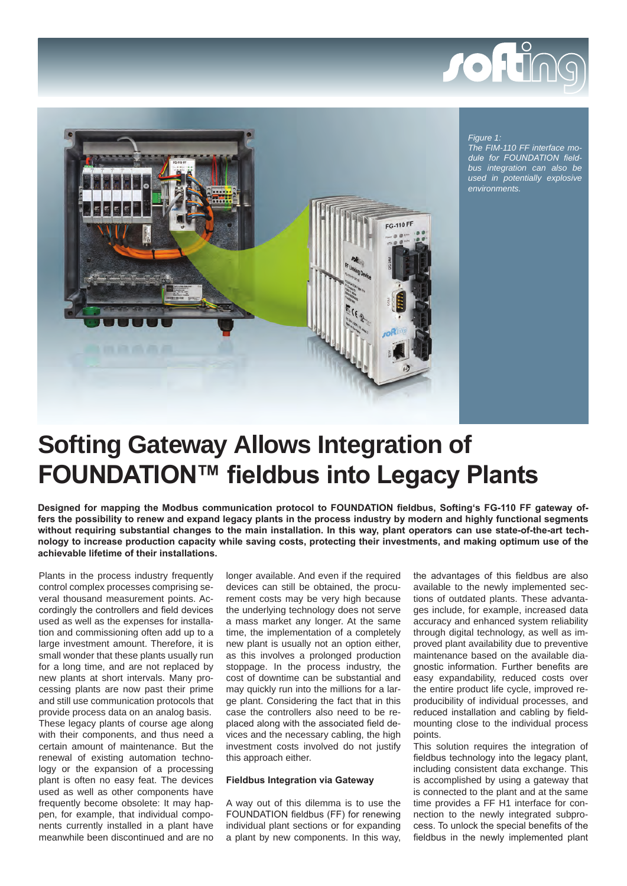



*Figure 1: The FIM-110 FF interface module for FOUNDATION fieldbus integration can also be used in potentially explosive environments.*

# **Softing Gateway Allows Integration of FOUNDATION™ fieldbus into Legacy Plants**

**Designed for mapping the Modbus communication protocol to FOUNDATION fieldbus, Softing's FG-110 FF gateway offers the possibility to renew and expand legacy plants in the process industry by modern and highly functional segments without requiring substantial changes to the main installation. In this way, plant operators can use state-of-the-art technology to increase production capacity while saving costs, protecting their investments, and making optimum use of the achievable lifetime of their installations.** 

Plants in the process industry frequently control complex processes comprising several thousand measurement points. Accordingly the controllers and field devices used as well as the expenses for installation and commissioning often add up to a large investment amount. Therefore, it is small wonder that these plants usually run for a long time, and are not replaced by new plants at short intervals. Many processing plants are now past their prime and still use communication protocols that provide process data on an analog basis. These legacy plants of course age along with their components, and thus need a certain amount of maintenance. But the renewal of existing automation technology or the expansion of a processing plant is often no easy feat. The devices used as well as other components have frequently become obsolete: It may happen, for example, that individual components currently installed in a plant have meanwhile been discontinued and are no longer available. And even if the required devices can still be obtained, the procurement costs may be very high because the underlying technology does not serve a mass market any longer. At the same time, the implementation of a completely new plant is usually not an option either, as this involves a prolonged production stoppage. In the process industry, the cost of downtime can be substantial and may quickly run into the millions for a large plant. Considering the fact that in this case the controllers also need to be replaced along with the associated field devices and the necessary cabling, the high investment costs involved do not justify this approach either.

## **Fieldbus Integration via Gateway**

A way out of this dilemma is to use the FOUNDATION fieldbus (FF) for renewing individual plant sections or for expanding a plant by new components. In this way, the advantages of this fieldbus are also available to the newly implemented sections of outdated plants. These advantages include, for example, increased data accuracy and enhanced system reliability through digital technology, as well as improved plant availability due to preventive maintenance based on the available diagnostic information. Further benefits are easy expandability, reduced costs over the entire product life cycle, improved reproducibility of individual processes, and reduced installation and cabling by fieldmounting close to the individual process points.

This solution requires the integration of fieldbus technology into the legacy plant, including consistent data exchange. This is accomplished by using a gateway that is connected to the plant and at the same time provides a FF H1 interface for connection to the newly integrated subprocess. To unlock the special benefits of the fieldbus in the newly implemented plant